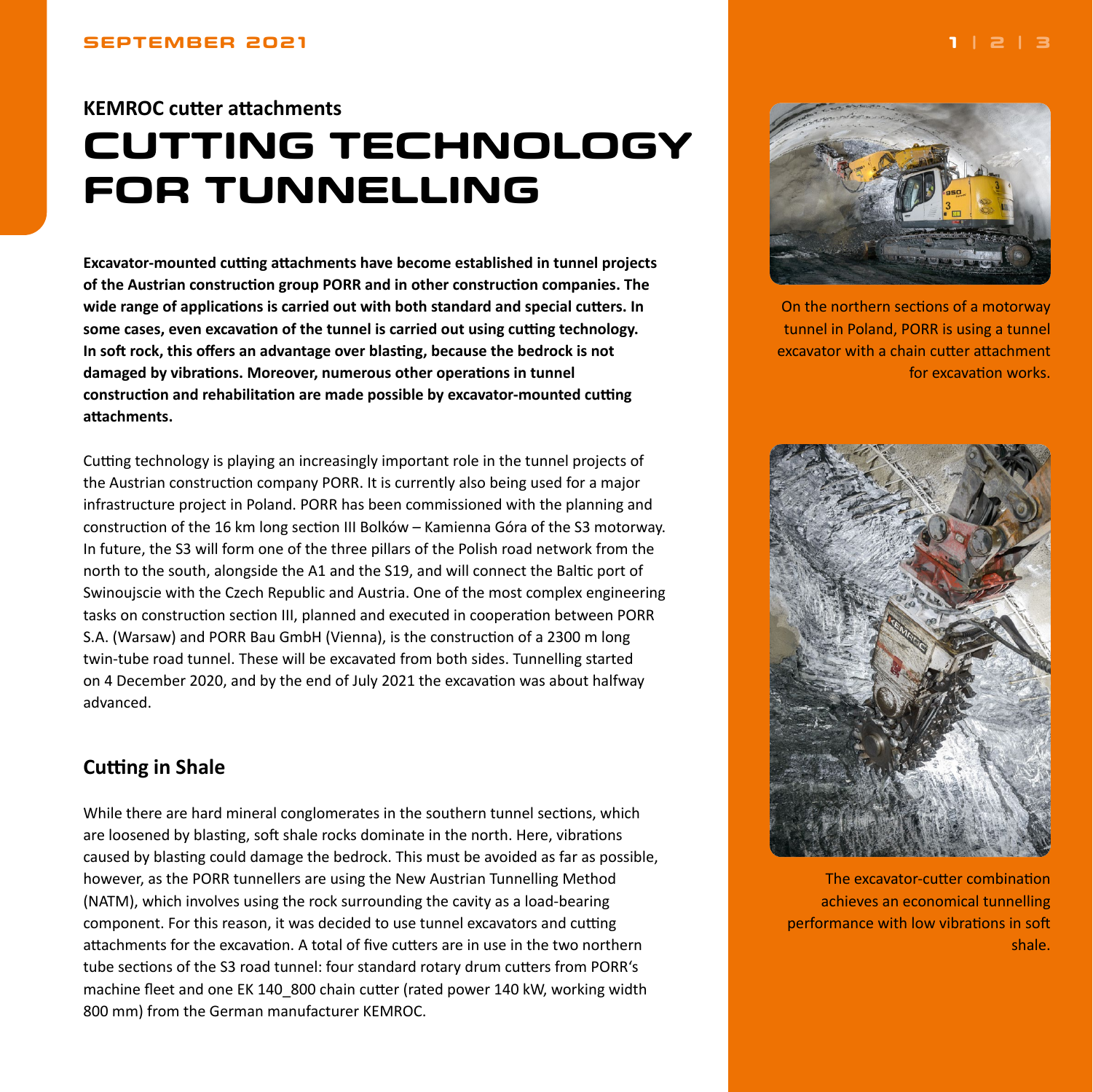# <span id="page-0-0"></span>**KEMROC cutter attachments CUTTING TECHNOLOGY FOR TUNNELLING**

**Excavator-mounted cutting attachments have become established in tunnel projects of the Austrian construction group PORR and in other construction companies. The wide range of applications is carried out with both standard and special cutters. In some cases, even excavation of the tunnel is carried out using cutting technology. In soft rock, this offers an advantage over blasting, because the bedrock is not damaged by vibrations. Moreover, numerous other operations in tunnel construction and rehabilitation are made possible by excavator-mounted cutting attachments.**

Cutting technology is playing an increasingly important role in the tunnel projects of the Austrian construction company PORR. It is currently also being used for a major infrastructure project in Poland. PORR has been commissioned with the planning and construction of the 16 km long section III Bolków – Kamienna Góra of the S3 motorway. In future, the S3 will form one of the three pillars of the Polish road network from the north to the south, alongside the A1 and the S19, and will connect the Baltic port of Swinoujscie with the Czech Republic and Austria. One of the most complex engineering tasks on construction section III, planned and executed in cooperation between PORR S.A. (Warsaw) and PORR Bau GmbH (Vienna), is the construction of a 2300 m long twin-tube road tunnel. These will be excavated from both sides. Tunnelling started on 4 December 2020, and by the end of July 2021 the excavation was about halfway advanced.

### **Cutting in Shale**

While there are hard mineral conglomerates in the southern tunnel sections, which are loosened by blasting, soft shale rocks dominate in the north. Here, vibrations caused by blasting could damage the bedrock. This must be avoided as far as possible, however, as the PORR tunnellers are using the New Austrian Tunnelling Method (NATM), which involves using the rock surrounding the cavity as a load-bearing component. For this reason, it was decided to use tunnel excavators and cutting attachments for the excavation. A total of five cutters are in use in the two northern tube sections of the S3 road tunnel: four standard rotary drum cutters from PORR's machine fleet and one EK 140 800 chain cutter (rated power 140 kW, working width 800 mm) from the German manufacturer KEMROC.



On the northern sections of a motorway tunnel in Poland, PORR is using a tunnel excavator with a chain cutter attachment for excavation works.



The excavator-cutter combination achieves an economical tunnelling performance with low vibrations in soft shale.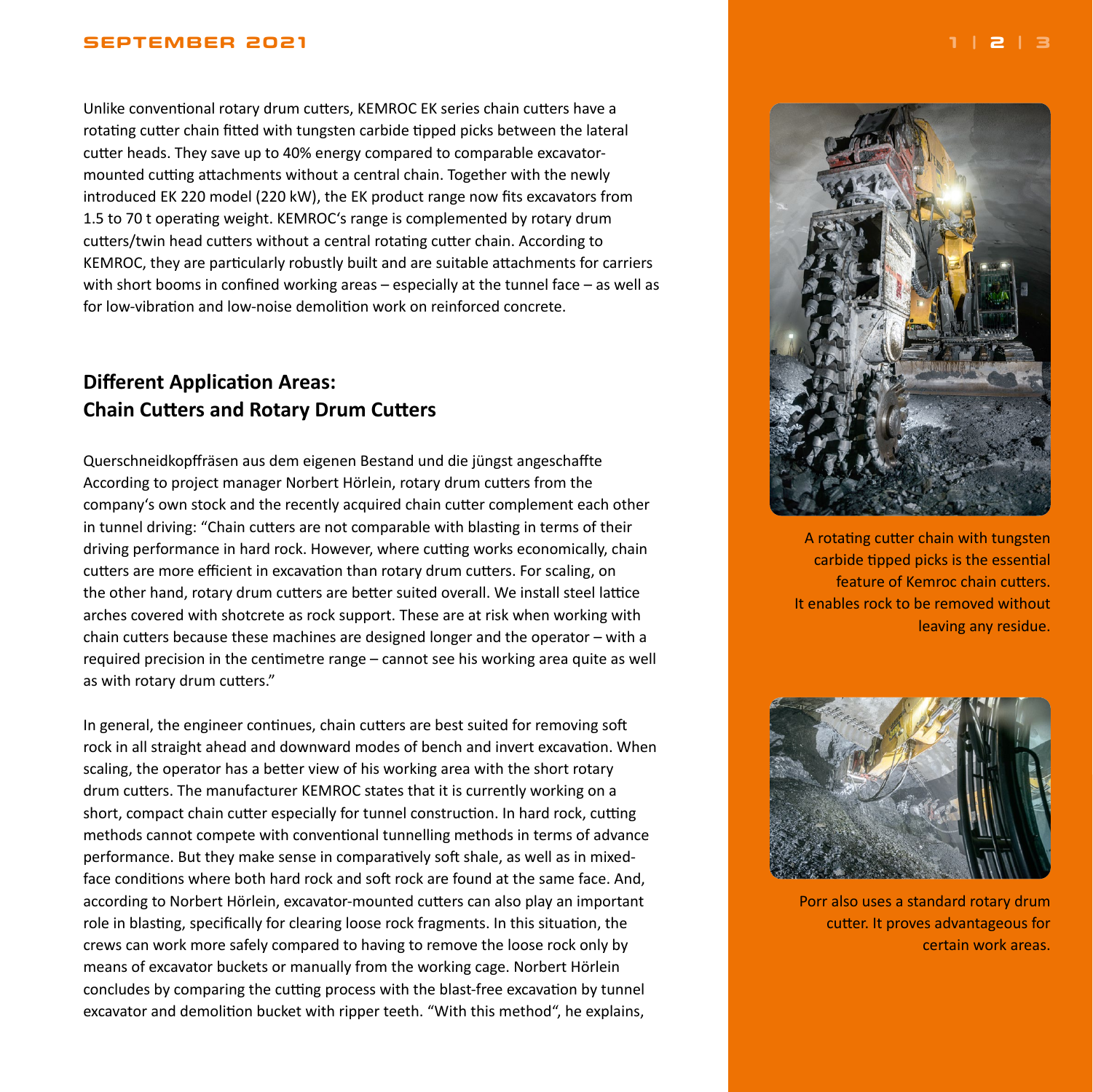### <span id="page-1-0"></span>**SEPTEMBER 2021 [1](#page-0-0) | 2 | [3](#page-2-0)**

Unlike conventional rotary drum cutters, KEMROC EK series chain cutters have a rotating cutter chain fitted with tungsten carbide tipped picks between the lateral cutter heads. They save up to 40% energy compared to comparable excavatormounted cutting attachments without a central chain. Together with the newly introduced EK 220 model (220 kW), the EK product range now fits excavators from 1.5 to 70 t operating weight. KEMROC's range is complemented by rotary drum cutters/twin head cutters without a central rotating cutter chain. According to KEMROC, they are particularly robustly built and are suitable attachments for carriers with short booms in confined working areas – especially at the tunnel face – as well as for low-vibration and low-noise demolition work on reinforced concrete.

## **Different Application Areas: Chain Cutters and Rotary Drum Cutters**

Querschneidkopffräsen aus dem eigenen Bestand und die jüngst angeschaffte According to project manager Norbert Hörlein, rotary drum cutters from the company's own stock and the recently acquired chain cutter complement each other in tunnel driving: "Chain cutters are not comparable with blasting in terms of their driving performance in hard rock. However, where cutting works economically, chain cutters are more efficient in excavation than rotary drum cutters. For scaling, on the other hand, rotary drum cutters are better suited overall. We install steel lattice arches covered with shotcrete as rock support. These are at risk when working with chain cutters because these machines are designed longer and the operator – with a required precision in the centimetre range – cannot see his working area quite as well as with rotary drum cutters."

In general, the engineer continues, chain cutters are best suited for removing soft rock in all straight ahead and downward modes of bench and invert excavation. When scaling, the operator has a better view of his working area with the short rotary drum cutters. The manufacturer KEMROC states that it is currently working on a short, compact chain cutter especially for tunnel construction. In hard rock, cutting methods cannot compete with conventional tunnelling methods in terms of advance performance. But they make sense in comparatively soft shale, as well as in mixedface conditions where both hard rock and soft rock are found at the same face. And, according to Norbert Hörlein, excavator-mounted cutters can also play an important role in blasting, specifically for clearing loose rock fragments. In this situation, the crews can work more safely compared to having to remove the loose rock only by means of excavator buckets or manually from the working cage. Norbert Hörlein concludes by comparing the cutting process with the blast-free excavation by tunnel excavator and demolition bucket with ripper teeth. "With this method", he explains,



A rotating cutter chain with tungsten carbide tipped picks is the essential feature of Kemroc chain cutters. It enables rock to be removed without leaving any residue.



Porr also uses a standard rotary drum cutter. It proves advantageous for certain work areas.